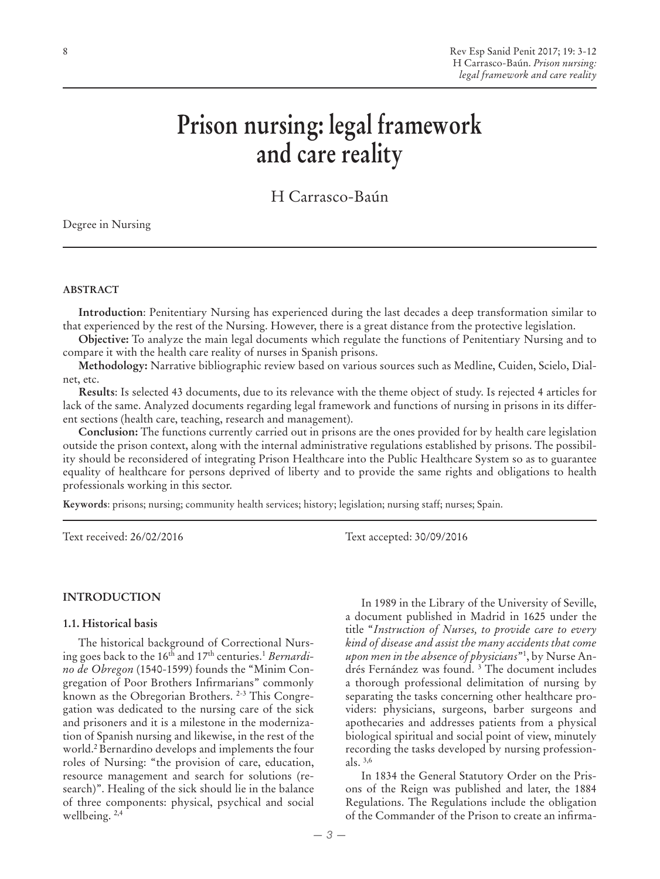# **Prison nursing: legal framework and care reality**

H Carrasco-Baún

Degree in Nursing

#### **ABSTRACT**

**Introduction**: Penitentiary Nursing has experienced during the last decades a deep transformation similar to that experienced by the rest of the Nursing. However, there is a great distance from the protective legislation.

**Objective:** To analyze the main legal documents which regulate the functions of Penitentiary Nursing and to compare it with the health care reality of nurses in Spanish prisons.

**Methodology:** Narrative bibliographic review based on various sources such as Medline, Cuiden, Scielo, Dialnet, etc.

**Results**: Is selected 43 documents, due to its relevance with the theme object of study. Is rejected 4 articles for lack of the same. Analyzed documents regarding legal framework and functions of nursing in prisons in its different sections (health care, teaching, research and management).

**Conclusion:** The functions currently carried out in prisons are the ones provided for by health care legislation outside the prison context, along with the internal administrative regulations established by prisons. The possibility should be reconsidered of integrating Prison Healthcare into the Public Healthcare System so as to guarantee equality of healthcare for persons deprived of liberty and to provide the same rights and obligations to health professionals working in this sector.

**Keywords**: prisons; nursing; community health services; history; legislation; nursing staff; nurses; Spain.

Text received: 26/02/2016 Text accepted: 30/09/2016

#### **INTRODUCTION**

#### **1.1. Historical basis**

The historical background of Correctional Nursing goes back to the 16<sup>th</sup> and 17<sup>th</sup> centuries.<sup>1</sup> *Bernardino de Obregon* (1540-1599) founds the "Minim Congregation of Poor Brothers Infirmarians" commonly known as the Obregorian Brothers. 2-3 This Congregation was dedicated to the nursing care of the sick and prisoners and it is a milestone in the modernization of Spanish nursing and likewise, in the rest of the world.2 Bernardino develops and implements the four roles of Nursing: "the provision of care, education, resource management and search for solutions (research)". Healing of the sick should lie in the balance of three components: physical, psychical and social wellbeing. 2,4

In 1989 in the Library of the University of Seville, a document published in Madrid in 1625 under the title "*Instruction of Nurses, to provide care to every kind of disease and assist the many accidents that come upon men in the absence of physicians*"1 , by Nurse Andrés Fernández was found. 3 The document includes a thorough professional delimitation of nursing by separating the tasks concerning other healthcare providers: physicians, surgeons, barber surgeons and apothecaries and addresses patients from a physical biological spiritual and social point of view, minutely recording the tasks developed by nursing professionals. 3,6

In 1834 the General Statutory Order on the Prisons of the Reign was published and later, the 1884 Regulations. The Regulations include the obligation of the Commander of the Prison to create an infirma-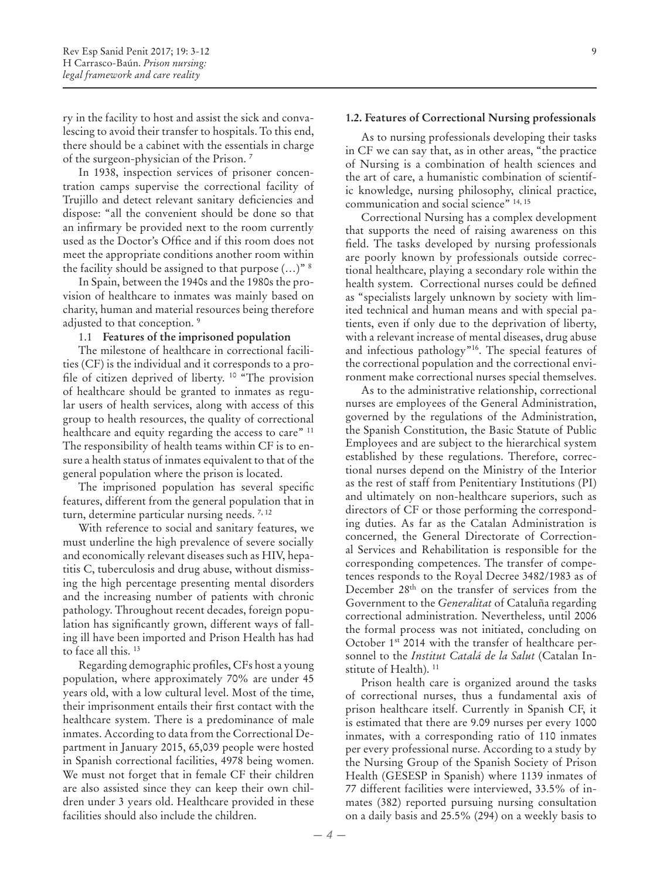ry in the facility to host and assist the sick and convalescing to avoid their transfer to hospitals. To this end, there should be a cabinet with the essentials in charge of the surgeon-physician of the Prison. 7

In 1938, inspection services of prisoner concentration camps supervise the correctional facility of Trujillo and detect relevant sanitary deficiencies and dispose: "all the convenient should be done so that an infirmary be provided next to the room currently used as the Doctor's Office and if this room does not meet the appropriate conditions another room within the facility should be assigned to that purpose  $(...)$ <sup>" 8</sup>

In Spain, between the 1940s and the 1980s the provision of healthcare to inmates was mainly based on charity, human and material resources being therefore adjusted to that conception. 9

#### 1.1 **Features of the imprisoned population**

The milestone of healthcare in correctional facilities (CF) is the individual and it corresponds to a profile of citizen deprived of liberty. 10 "The provision of healthcare should be granted to inmates as regular users of health services, along with access of this group to health resources, the quality of correctional healthcare and equity regarding the access to care" <sup>11</sup> The responsibility of health teams within CF is to ensure a health status of inmates equivalent to that of the general population where the prison is located.

The imprisoned population has several specific features, different from the general population that in turn, determine particular nursing needs. 7, 12

With reference to social and sanitary features, we must underline the high prevalence of severe socially and economically relevant diseases such as HIV, hepatitis C, tuberculosis and drug abuse, without dismissing the high percentage presenting mental disorders and the increasing number of patients with chronic pathology. Throughout recent decades, foreign population has significantly grown, different ways of falling ill have been imported and Prison Health has had to face all this. 13

Regarding demographic profiles, CFs host a young population, where approximately 70% are under 45 years old, with a low cultural level. Most of the time, their imprisonment entails their first contact with the healthcare system. There is a predominance of male inmates. According to data from the Correctional Department in January 2015, 65,039 people were hosted in Spanish correctional facilities, 4978 being women. We must not forget that in female CF their children are also assisted since they can keep their own children under 3 years old. Healthcare provided in these facilities should also include the children.

#### **1.2. Features of Correctional Nursing professionals**

As to nursing professionals developing their tasks in CF we can say that, as in other areas, "the practice of Nursing is a combination of health sciences and the art of care, a humanistic combination of scientific knowledge, nursing philosophy, clinical practice, communication and social science" 14, 15

Correctional Nursing has a complex development that supports the need of raising awareness on this field. The tasks developed by nursing professionals are poorly known by professionals outside correctional healthcare, playing a secondary role within the health system. Correctional nurses could be defined as "specialists largely unknown by society with limited technical and human means and with special patients, even if only due to the deprivation of liberty, with a relevant increase of mental diseases, drug abuse and infectious pathology"16. The special features of the correctional population and the correctional environment make correctional nurses special themselves.

As to the administrative relationship, correctional nurses are employees of the General Administration, governed by the regulations of the Administration, the Spanish Constitution, the Basic Statute of Public Employees and are subject to the hierarchical system established by these regulations. Therefore, correctional nurses depend on the Ministry of the Interior as the rest of staff from Penitentiary Institutions (PI) and ultimately on non-healthcare superiors, such as directors of CF or those performing the corresponding duties. As far as the Catalan Administration is concerned, the General Directorate of Correctional Services and Rehabilitation is responsible for the corresponding competences. The transfer of competences responds to the Royal Decree 3482/1983 as of December 28th on the transfer of services from the Government to the *Generalitat* of Cataluña regarding correctional administration. Nevertheless, until 2006 the formal process was not initiated, concluding on October 1st 2014 with the transfer of healthcare personnel to the *Institut Catalá de la Salut* (Catalan Institute of Health).<sup>11</sup>

Prison health care is organized around the tasks of correctional nurses, thus a fundamental axis of prison healthcare itself. Currently in Spanish CF, it is estimated that there are 9.09 nurses per every 1000 inmates, with a corresponding ratio of 110 inmates per every professional nurse. According to a study by the Nursing Group of the Spanish Society of Prison Health (GESESP in Spanish) where 1139 inmates of 77 different facilities were interviewed, 33.5% of inmates (382) reported pursuing nursing consultation on a daily basis and 25.5% (294) on a weekly basis to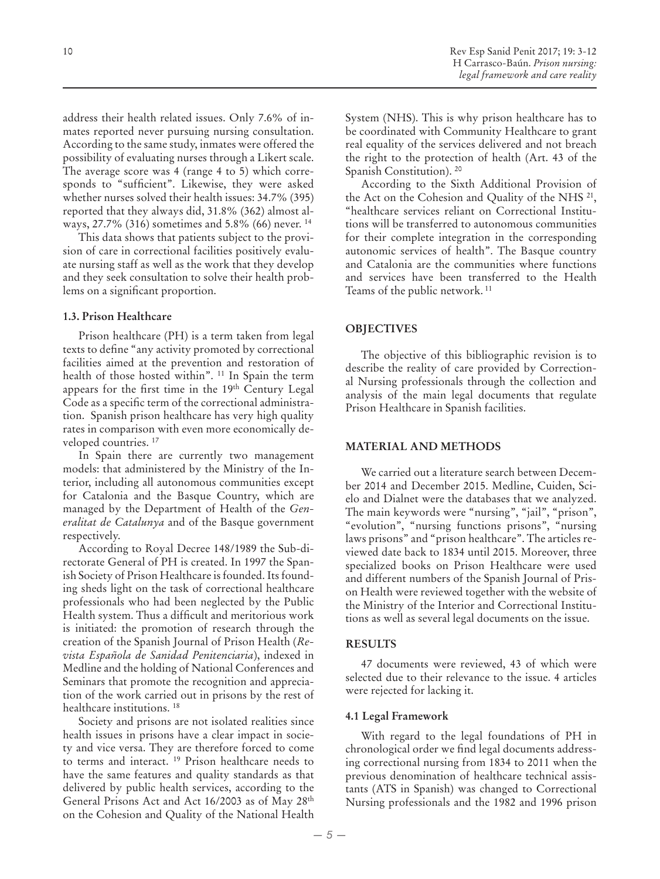address their health related issues. Only 7.6% of inmates reported never pursuing nursing consultation. According to the same study, inmates were offered the possibility of evaluating nurses through a Likert scale. The average score was 4 (range 4 to 5) which corresponds to "sufficient". Likewise, they were asked whether nurses solved their health issues: 34.7% (395) reported that they always did, 31.8% (362) almost always, 27.7% (316) sometimes and 5.8% (66) never. 14

This data shows that patients subject to the provision of care in correctional facilities positively evaluate nursing staff as well as the work that they develop and they seek consultation to solve their health problems on a significant proportion.

## **1.3. Prison Healthcare**

Prison healthcare (PH) is a term taken from legal texts to define "any activity promoted by correctional facilities aimed at the prevention and restoration of health of those hosted within". 11 In Spain the term appears for the first time in the 19th Century Legal Code as a specific term of the correctional administration. Spanish prison healthcare has very high quality rates in comparison with even more economically developed countries. 17

In Spain there are currently two management models: that administered by the Ministry of the Interior, including all autonomous communities except for Catalonia and the Basque Country, which are managed by the Department of Health of the *Generalitat de Catalunya* and of the Basque government respectively.

According to Royal Decree 148/1989 the Sub-directorate General of PH is created. In 1997 the Spanish Society of Prison Healthcare is founded. Its founding sheds light on the task of correctional healthcare professionals who had been neglected by the Public Health system. Thus a difficult and meritorious work is initiated: the promotion of research through the creation of the Spanish Journal of Prison Health (*Revista Española de Sanidad Penitenciaria*), indexed in Medline and the holding of National Conferences and Seminars that promote the recognition and appreciation of the work carried out in prisons by the rest of healthcare institutions.<sup>18</sup>

Society and prisons are not isolated realities since health issues in prisons have a clear impact in society and vice versa. They are therefore forced to come to terms and interact. 19 Prison healthcare needs to have the same features and quality standards as that delivered by public health services, according to the General Prisons Act and Act 16/2003 as of May 28th on the Cohesion and Quality of the National Health

System (NHS). This is why prison healthcare has to be coordinated with Community Healthcare to grant real equality of the services delivered and not breach the right to the protection of health (Art. 43 of the Spanish Constitution). 20

According to the Sixth Additional Provision of the Act on the Cohesion and Quality of the NHS<sup>21</sup>, "healthcare services reliant on Correctional Institutions will be transferred to autonomous communities for their complete integration in the corresponding autonomic services of health". The Basque country and Catalonia are the communities where functions and services have been transferred to the Health Teams of the public network. 11

# **OBJECTIVES**

The objective of this bibliographic revision is to describe the reality of care provided by Correctional Nursing professionals through the collection and analysis of the main legal documents that regulate Prison Healthcare in Spanish facilities.

#### **MATERIAL AND METHODS**

We carried out a literature search between December 2014 and December 2015. Medline, Cuiden, Scielo and Dialnet were the databases that we analyzed. The main keywords were "nursing", "jail", "prison", "evolution", "nursing functions prisons", "nursing laws prisons" and "prison healthcare". The articles reviewed date back to 1834 until 2015. Moreover, three specialized books on Prison Healthcare were used and different numbers of the Spanish Journal of Prison Health were reviewed together with the website of the Ministry of the Interior and Correctional Institutions as well as several legal documents on the issue.

#### **RESULTS**

47 documents were reviewed, 43 of which were selected due to their relevance to the issue. 4 articles were rejected for lacking it.

# **4.1 Legal Framework**

With regard to the legal foundations of PH in chronological order we find legal documents addressing correctional nursing from 1834 to 2011 when the previous denomination of healthcare technical assistants (ATS in Spanish) was changed to Correctional Nursing professionals and the 1982 and 1996 prison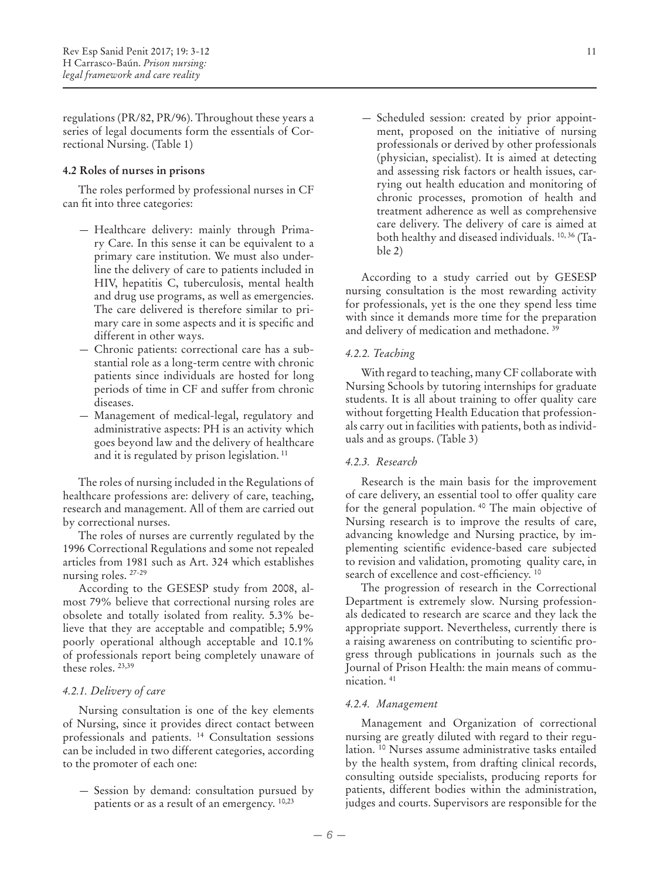regulations (PR/82, PR/96). Throughout these years a series of legal documents form the essentials of Correctional Nursing. (Table 1)

#### **4.2 Roles of nurses in prisons**

The roles performed by professional nurses in CF can fit into three categories:

- Healthcare delivery: mainly through Primary Care. In this sense it can be equivalent to a primary care institution. We must also underline the delivery of care to patients included in HIV, hepatitis C, tuberculosis, mental health and drug use programs, as well as emergencies. The care delivered is therefore similar to primary care in some aspects and it is specific and different in other ways.
- Chronic patients: correctional care has a substantial role as a long-term centre with chronic patients since individuals are hosted for long periods of time in CF and suffer from chronic diseases.
- Management of medical-legal, regulatory and administrative aspects: PH is an activity which goes beyond law and the delivery of healthcare and it is regulated by prison legislation. 11

The roles of nursing included in the Regulations of healthcare professions are: delivery of care, teaching, research and management. All of them are carried out by correctional nurses.

The roles of nurses are currently regulated by the 1996 Correctional Regulations and some not repealed articles from 1981 such as Art. 324 which establishes nursing roles. 27-29

According to the GESESP study from 2008, almost 79% believe that correctional nursing roles are obsolete and totally isolated from reality. 5.3% believe that they are acceptable and compatible; 5.9% poorly operational although acceptable and 10.1% of professionals report being completely unaware of these roles. 23,39

#### *4.2.1. Delivery of care*

Nursing consultation is one of the key elements of Nursing, since it provides direct contact between professionals and patients. 14 Consultation sessions can be included in two different categories, according to the promoter of each one:

— Session by demand: consultation pursued by patients or as a result of an emergency. 10,23

— Scheduled session: created by prior appointment, proposed on the initiative of nursing professionals or derived by other professionals (physician, specialist). It is aimed at detecting and assessing risk factors or health issues, carrying out health education and monitoring of chronic processes, promotion of health and treatment adherence as well as comprehensive care delivery. The delivery of care is aimed at both healthy and diseased individuals. 10, 36 (Table 2)

According to a study carried out by GESESP nursing consultation is the most rewarding activity for professionals, yet is the one they spend less time with since it demands more time for the preparation and delivery of medication and methadone. 39

# *4.2.2. Teaching*

With regard to teaching, many CF collaborate with Nursing Schools by tutoring internships for graduate students. It is all about training to offer quality care without forgetting Health Education that professionals carry out in facilities with patients, both as individuals and as groups. (Table 3)

#### *4.2.3. Research*

Research is the main basis for the improvement of care delivery, an essential tool to offer quality care for the general population. 40 The main objective of Nursing research is to improve the results of care, advancing knowledge and Nursing practice, by implementing scientific evidence-based care subjected to revision and validation, promoting quality care, in search of excellence and cost-efficiency.<sup>10</sup>

The progression of research in the Correctional Department is extremely slow. Nursing professionals dedicated to research are scarce and they lack the appropriate support. Nevertheless, currently there is a raising awareness on contributing to scientific progress through publications in journals such as the Journal of Prison Health: the main means of communication. 41

#### *4.2.4. Management*

Management and Organization of correctional nursing are greatly diluted with regard to their regulation. 10 Nurses assume administrative tasks entailed by the health system, from drafting clinical records, consulting outside specialists, producing reports for patients, different bodies within the administration, judges and courts. Supervisors are responsible for the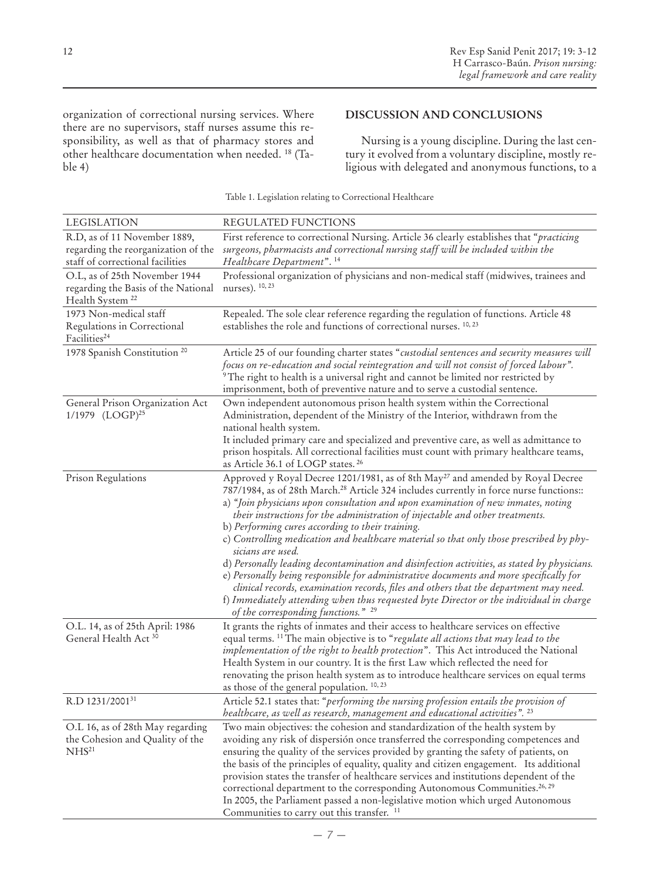organization of correctional nursing services. Where there are no supervisors, staff nurses assume this responsibility, as well as that of pharmacy stores and other healthcare documentation when needed. 18 (Table 4)

# **DISCUSSION AND CONCLUSIONS**

Nursing is a young discipline. During the last century it evolved from a voluntary discipline, mostly religious with delegated and anonymous functions, to a

| <b>LEGISLATION</b>                                                                                      | REGULATED FUNCTIONS                                                                                                                                                                                                                                                                                                                                                                                                                                                                                                                                                                                                                                                                                                                                                                                                                                                                                                                                                       |
|---------------------------------------------------------------------------------------------------------|---------------------------------------------------------------------------------------------------------------------------------------------------------------------------------------------------------------------------------------------------------------------------------------------------------------------------------------------------------------------------------------------------------------------------------------------------------------------------------------------------------------------------------------------------------------------------------------------------------------------------------------------------------------------------------------------------------------------------------------------------------------------------------------------------------------------------------------------------------------------------------------------------------------------------------------------------------------------------|
| R.D, as of 11 November 1889,<br>regarding the reorganization of the<br>staff of correctional facilities | First reference to correctional Nursing. Article 36 clearly establishes that "practicing<br>surgeons, pharmacists and correctional nursing staff will be included within the<br>Healthcare Department". <sup>14</sup>                                                                                                                                                                                                                                                                                                                                                                                                                                                                                                                                                                                                                                                                                                                                                     |
| O.L, as of 25th November 1944<br>regarding the Basis of the National<br>Health System <sup>22</sup>     | Professional organization of physicians and non-medical staff (midwives, trainees and<br>nurses). <sup>10, 23</sup>                                                                                                                                                                                                                                                                                                                                                                                                                                                                                                                                                                                                                                                                                                                                                                                                                                                       |
| 1973 Non-medical staff<br>Regulations in Correctional<br>Facilities <sup>24</sup>                       | Repealed. The sole clear reference regarding the regulation of functions. Article 48<br>establishes the role and functions of correctional nurses. <sup>10,23</sup>                                                                                                                                                                                                                                                                                                                                                                                                                                                                                                                                                                                                                                                                                                                                                                                                       |
| 1978 Spanish Constitution <sup>20</sup>                                                                 | Article 25 of our founding charter states "custodial sentences and security measures will<br>focus on re-education and social reintegration and will not consist of forced labour".<br><sup>9</sup> The right to health is a universal right and cannot be limited nor restricted by<br>imprisonment, both of preventive nature and to serve a custodial sentence.                                                                                                                                                                                                                                                                                                                                                                                                                                                                                                                                                                                                        |
| General Prison Organization Act<br>1/1979 (LOGP) <sup>25</sup>                                          | Own independent autonomous prison health system within the Correctional<br>Administration, dependent of the Ministry of the Interior, withdrawn from the<br>national health system.<br>It included primary care and specialized and preventive care, as well as admittance to<br>prison hospitals. All correctional facilities must count with primary healthcare teams,<br>as Article 36.1 of LOGP states. <sup>26</sup>                                                                                                                                                                                                                                                                                                                                                                                                                                                                                                                                                 |
| Prison Regulations                                                                                      | Approved y Royal Decree 1201/1981, as of 8th May <sup>27</sup> and amended by Royal Decree<br>787/1984, as of 28th March. <sup>28</sup> Article 324 includes currently in force nurse functions::<br>a) "Join physicians upon consultation and upon examination of new inmates, noting<br>their instructions for the administration of injectable and other treatments.<br>b) Performing cures according to their training.<br>c) Controlling medication and healthcare material so that only those prescribed by phy-<br>sicians are used.<br>d) Personally leading decontamination and disinfection activities, as stated by physicians.<br>e) Personally being responsible for administrative documents and more specifically for<br>clinical records, examination records, files and others that the department may need.<br>f) Immediately attending when thus requested byte Director or the individual in charge<br>of the corresponding functions." <sup>29</sup> |
| O.L. 14, as of 25th April: 1986<br>General Health Act 30                                                | It grants the rights of inmates and their access to healthcare services on effective<br>equal terms. <sup>11</sup> The main objective is to "regulate all actions that may lead to the<br>implementation of the right to health protection". This Act introduced the National<br>Health System in our country. It is the first Law which reflected the need for<br>renovating the prison health system as to introduce healthcare services on equal terms<br>as those of the general population. 10, 23                                                                                                                                                                                                                                                                                                                                                                                                                                                                   |
| R.D 1231/2001 <sup>31</sup>                                                                             | Article 52.1 states that: "performing the nursing profession entails the provision of<br>healthcare, as well as research, management and educational activities". <sup>23</sup>                                                                                                                                                                                                                                                                                                                                                                                                                                                                                                                                                                                                                                                                                                                                                                                           |
| O.L 16, as of 28th May regarding<br>the Cohesion and Quality of the<br>NHS <sup>21</sup>                | Two main objectives: the cohesion and standardization of the health system by<br>avoiding any risk of dispersión once transferred the corresponding competences and<br>ensuring the quality of the services provided by granting the safety of patients, on<br>the basis of the principles of equality, quality and citizen engagement. Its additional<br>provision states the transfer of healthcare services and institutions dependent of the<br>correctional department to the corresponding Autonomous Communities. <sup>26, 29</sup><br>In 2005, the Parliament passed a non-legislative motion which urged Autonomous<br>Communities to carry out this transfer. <sup>11</sup>                                                                                                                                                                                                                                                                                     |

Table 1. Legislation relating to Correctional Healthcare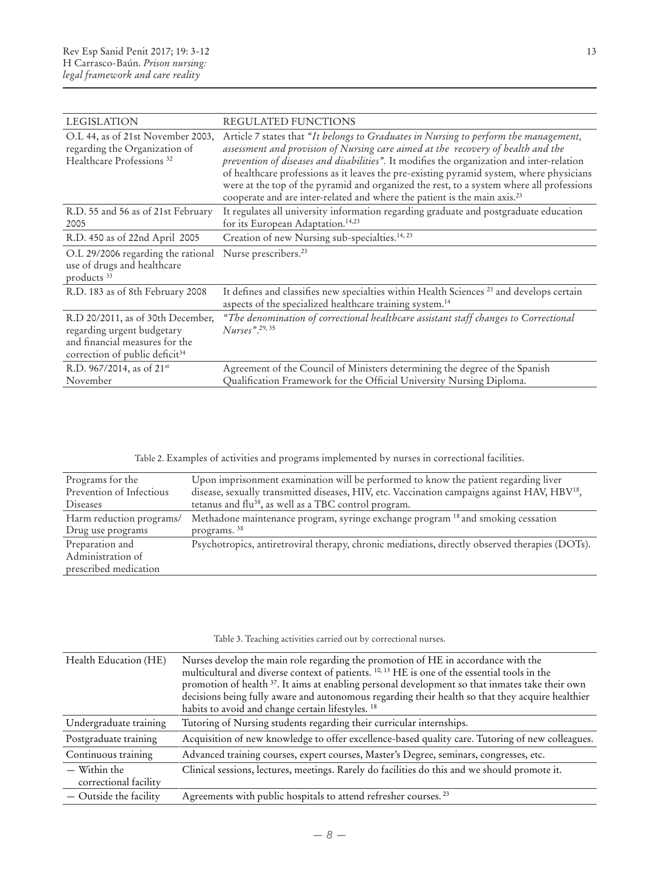| <b>LEGISLATION</b>                                                                                                                              | <b>REGULATED FUNCTIONS</b>                                                                                                                                                                                                                                                                                                                                                                                                                                                                                                                             |
|-------------------------------------------------------------------------------------------------------------------------------------------------|--------------------------------------------------------------------------------------------------------------------------------------------------------------------------------------------------------------------------------------------------------------------------------------------------------------------------------------------------------------------------------------------------------------------------------------------------------------------------------------------------------------------------------------------------------|
| O.L 44, as of 21st November 2003,<br>regarding the Organization of<br>Healthcare Professions <sup>32</sup>                                      | Article 7 states that "It belongs to Graduates in Nursing to perform the management,<br>assessment and provision of Nursing care aimed at the recovery of health and the<br>prevention of diseases and disabilities". It modifies the organization and inter-relation<br>of healthcare professions as it leaves the pre-existing pyramid system, where physicians<br>were at the top of the pyramid and organized the rest, to a system where all professions<br>cooperate and are inter-related and where the patient is the main axis. <sup>23</sup> |
| R.D. 55 and 56 as of 21st February<br>2005                                                                                                      | It regulates all university information regarding graduate and postgraduate education<br>for its European Adaptation. <sup>14,23</sup>                                                                                                                                                                                                                                                                                                                                                                                                                 |
| R.D. 450 as of 22nd April 2005                                                                                                                  | Creation of new Nursing sub-specialties. <sup>14, 23</sup>                                                                                                                                                                                                                                                                                                                                                                                                                                                                                             |
| O.L 29/2006 regarding the rational Nurse prescribers. <sup>23</sup><br>use of drugs and healthcare<br>products <sup>33</sup>                    |                                                                                                                                                                                                                                                                                                                                                                                                                                                                                                                                                        |
| R.D. 183 as of 8th February 2008                                                                                                                | It defines and classifies new specialties within Health Sciences <sup>23</sup> and develops certain<br>aspects of the specialized healthcare training system. <sup>14</sup>                                                                                                                                                                                                                                                                                                                                                                            |
| R.D 20/2011, as of 30th December,<br>regarding urgent budgetary<br>and financial measures for the<br>correction of public deficit <sup>34</sup> | "The denomination of correctional healthcare assistant staff changes to Correctional<br>$Nures$ <sup>", 29, 35</sup>                                                                                                                                                                                                                                                                                                                                                                                                                                   |
| R.D. 967/2014, as of $21^{st}$<br>November                                                                                                      | Agreement of the Council of Ministers determining the degree of the Spanish<br>Qualification Framework for the Official University Nursing Diploma.                                                                                                                                                                                                                                                                                                                                                                                                    |

Table 2. Examples of activities and programs implemented by nurses in correctional facilities.

| Programs for the         | Upon imprisonment examination will be performed to know the patient regarding liver                      |
|--------------------------|----------------------------------------------------------------------------------------------------------|
| Prevention of Infectious | disease, sexually transmitted diseases, HIV, etc. Vaccination campaigns against HAV, HBV <sup>18</sup> , |
| Diseases                 | tetanus and flu <sup>38</sup> , as well as a TBC control program.                                        |
| Harm reduction programs/ | Methadone maintenance program, syringe exchange program <sup>18</sup> and smoking cessation              |
| Drug use programs        | programs. <sup>38</sup>                                                                                  |
| Preparation and          | Psychotropics, antiretroviral therapy, chronic mediations, directly observed therapies (DOTs).           |
| Administration of        |                                                                                                          |
| prescribed medication    |                                                                                                          |

|  |  |  | Table 3. Teaching activities carried out by correctional nurses. |  |
|--|--|--|------------------------------------------------------------------|--|

| Health Education (HE)                 | Nurses develop the main role regarding the promotion of HE in accordance with the<br>multicultural and diverse context of patients. <sup>10, 13</sup> HE is one of the essential tools in the<br>promotion of health <sup>37</sup> . It aims at enabling personal development so that inmates take their own<br>decisions being fully aware and autonomous regarding their health so that they acquire healthier<br>habits to avoid and change certain lifestyles. <sup>18</sup> |
|---------------------------------------|----------------------------------------------------------------------------------------------------------------------------------------------------------------------------------------------------------------------------------------------------------------------------------------------------------------------------------------------------------------------------------------------------------------------------------------------------------------------------------|
| Undergraduate training                | Tutoring of Nursing students regarding their curricular internships.                                                                                                                                                                                                                                                                                                                                                                                                             |
| Postgraduate training                 | Acquisition of new knowledge to offer excellence-based quality care. Tutoring of new colleagues.                                                                                                                                                                                                                                                                                                                                                                                 |
| Continuous training                   | Advanced training courses, expert courses, Master's Degree, seminars, congresses, etc.                                                                                                                                                                                                                                                                                                                                                                                           |
| - Within the<br>correctional facility | Clinical sessions, lectures, meetings. Rarely do facilities do this and we should promote it.                                                                                                                                                                                                                                                                                                                                                                                    |
| $-$ Outside the facility              | Agreements with public hospitals to attend refresher courses. <sup>23</sup>                                                                                                                                                                                                                                                                                                                                                                                                      |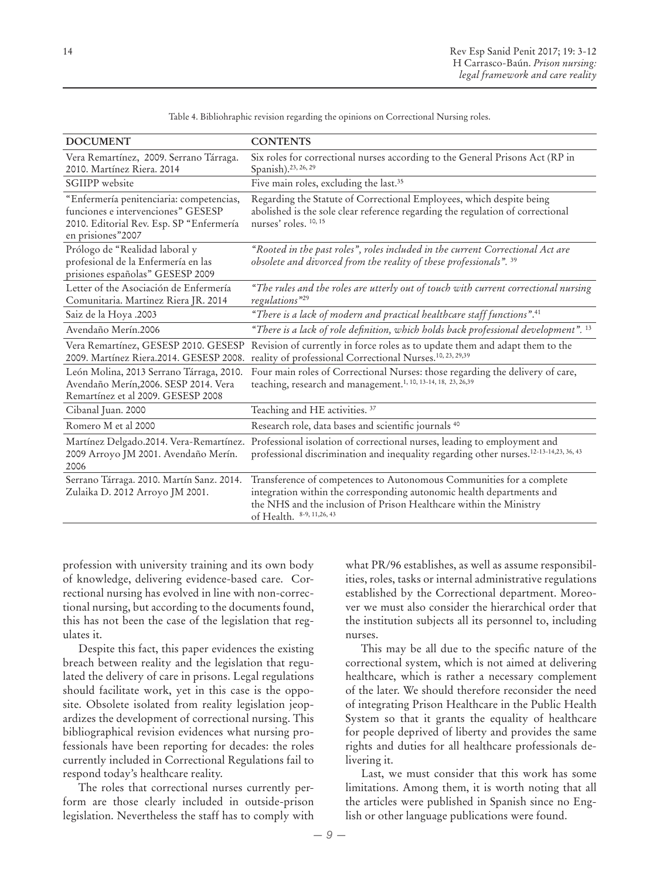| <b>DOCUMENT</b>                                                                                                                                 | <b>CONTENTS</b>                                                                                                                                                                                                                                  |
|-------------------------------------------------------------------------------------------------------------------------------------------------|--------------------------------------------------------------------------------------------------------------------------------------------------------------------------------------------------------------------------------------------------|
| Vera Remartínez, 2009. Serrano Tárraga.<br>2010. Martínez Riera. 2014                                                                           | Six roles for correctional nurses according to the General Prisons Act (RP in<br>Spanish). <sup>23, 26, 29</sup>                                                                                                                                 |
| SGIIPP website                                                                                                                                  | Five main roles, excluding the last. <sup>35</sup>                                                                                                                                                                                               |
| "Enfermería penitenciaria: competencias,<br>funciones e intervenciones" GESESP<br>2010. Editorial Rev. Esp. SP "Enfermería<br>en prisiones"2007 | Regarding the Statute of Correctional Employees, which despite being<br>abolished is the sole clear reference regarding the regulation of correctional<br>nurses' roles. 10, 15                                                                  |
| Prólogo de "Realidad laboral y<br>profesional de la Enfermería en las<br>prisiones españolas" GESESP 2009                                       | "Rooted in the past roles", roles included in the current Correctional Act are<br>obsolete and divorced from the reality of these professionals". 39                                                                                             |
| Letter of the Asociación de Enfermería<br>Comunitaria. Martinez Riera JR. 2014                                                                  | "The rules and the roles are utterly out of touch with current correctional nursing<br>regulations" <sup>29</sup>                                                                                                                                |
| Saiz de la Hoya .2003                                                                                                                           | "There is a lack of modern and practical healthcare staff functions".41                                                                                                                                                                          |
| Avendaño Merín.2006                                                                                                                             | "There is a lack of role definition, which holds back professional development". 13                                                                                                                                                              |
| Vera Remartínez, GESESP 2010. GESESP<br>2009. Martínez Riera.2014. GESESP 2008.                                                                 | Revision of currently in force roles as to update them and adapt them to the<br>reality of professional Correctional Nurses. <sup>10, 23, 29,39</sup>                                                                                            |
| León Molina, 2013 Serrano Tárraga, 2010.<br>Avendaño Merín, 2006. SESP 2014. Vera<br>Remartínez et al 2009. GESESP 2008                         | Four main roles of Correctional Nurses: those regarding the delivery of care,<br>teaching, research and management. <sup>1, 10, 13-14, 18, 23, 26,39</sup>                                                                                       |
| Cibanal Juan. 2000                                                                                                                              | Teaching and HE activities. <sup>37</sup>                                                                                                                                                                                                        |
| Romero M et al 2000                                                                                                                             | Research role, data bases and scientific journals <sup>40</sup>                                                                                                                                                                                  |
| Martínez Delgado.2014. Vera-Remartínez.<br>2009 Arroyo JM 2001. Avendaño Merín.<br>2006                                                         | Professional isolation of correctional nurses, leading to employment and<br>professional discrimination and inequality regarding other nurses. <sup>12-13-14,23, 36, 43</sup>                                                                    |
| Serrano Tárraga. 2010. Martín Sanz. 2014.<br>Zulaika D. 2012 Arroyo JM 2001.                                                                    | Transference of competences to Autonomous Communities for a complete<br>integration within the corresponding autonomic health departments and<br>the NHS and the inclusion of Prison Healthcare within the Ministry<br>of Health. 8-9, 11,26, 43 |

Table 4. Bibliohraphic revision regarding the opinions on Correctional Nursing roles.

profession with university training and its own body of knowledge, delivering evidence-based care. Correctional nursing has evolved in line with non-correctional nursing, but according to the documents found, this has not been the case of the legislation that regulates it.

Despite this fact, this paper evidences the existing breach between reality and the legislation that regulated the delivery of care in prisons. Legal regulations should facilitate work, yet in this case is the opposite. Obsolete isolated from reality legislation jeopardizes the development of correctional nursing. This bibliographical revision evidences what nursing professionals have been reporting for decades: the roles currently included in Correctional Regulations fail to respond today's healthcare reality.

The roles that correctional nurses currently perform are those clearly included in outside-prison legislation. Nevertheless the staff has to comply with what PR/96 establishes, as well as assume responsibilities, roles, tasks or internal administrative regulations established by the Correctional department. Moreover we must also consider the hierarchical order that the institution subjects all its personnel to, including nurses.

This may be all due to the specific nature of the correctional system, which is not aimed at delivering healthcare, which is rather a necessary complement of the later. We should therefore reconsider the need of integrating Prison Healthcare in the Public Health System so that it grants the equality of healthcare for people deprived of liberty and provides the same rights and duties for all healthcare professionals delivering it.

Last, we must consider that this work has some limitations. Among them, it is worth noting that all the articles were published in Spanish since no English or other language publications were found.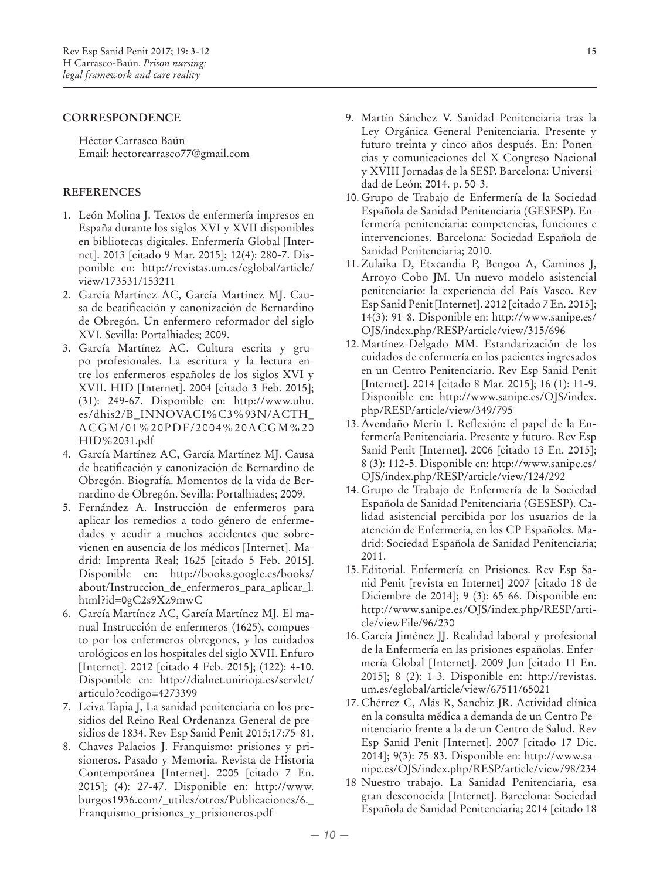## **Correspondence**

Héctor Carrasco Baún Email: hectorcarrasco77@gmail.com

## **References**

- 1. León Molina J. Textos de enfermería impresos en España durante los siglos XVI y XVII disponibles en bibliotecas digitales. Enfermería Global [Internet]. 2013 [citado 9 Mar. 2015]; 12(4): 280-7. Disponible en: http://revistas.um.es/eglobal/article/ view/173531/153211
- 2. García Martínez AC, García Martínez MJ. Causa de beatificación y canonización de Bernardino de Obregón. Un enfermero reformador del siglo XVI. Sevilla: Portalhiades; 2009.
- 3. García Martínez AC. Cultura escrita y grupo profesionales. La escritura y la lectura entre los enfermeros españoles de los siglos XVI y XVII. HID [Internet]. 2004 [citado 3 Feb. 2015]; (31): 249-67. Disponible en: http://www.uhu. es/dhis2/B\_INNOVACI%C3%93N/ACTH\_ ACGM/01%20PDF/2004%20ACGM%20 HID%2031.pdf
- 4. García Martínez AC, García Martínez MJ. Causa de beatificación y canonización de Bernardino de Obregón. Biografía. Momentos de la vida de Bernardino de Obregón. Sevilla: Portalhiades; 2009.
- 5. Fernández A. Instrucción de enfermeros para aplicar los remedios a todo género de enfermedades y acudir a muchos accidentes que sobrevienen en ausencia de los médicos [Internet]. Madrid: Imprenta Real; 1625 [citado 5 Feb. 2015]. Disponible en: http://books.google.es/books/ about/Instruccion\_de\_enfermeros\_para\_aplicar\_l. html?id=0gC2s9Xz9mwC
- 6. García Martínez AC, García Martínez MJ. El manual Instrucción de enfermeros (1625), compuesto por los enfermeros obregones, y los cuidados urológicos en los hospitales del siglo XVII. Enfuro [Internet]. 2012 [citado 4 Feb. 2015]; (122): 4-10. Disponible en: http://dialnet.unirioja.es/servlet/ articulo?codigo=4273399
- 7. Leiva Tapia J, La sanidad penitenciaria en los presidios del Reino Real Ordenanza General de presidios de 1834. Rev Esp Sanid Penit 2015;17:75-81.
- 8. Chaves Palacios J. Franquismo: prisiones y prisioneros. Pasado y Memoria. Revista de Historia Contemporánea [Internet]. 2005 [citado 7 En. 2015]; (4): 27-47. Disponible en: http://www. burgos1936.com/\_utiles/otros/Publicaciones/6.\_ Franquismo\_prisiones\_y\_prisioneros.pdf
- 9. Martín Sánchez V. Sanidad Penitenciaria tras la Ley Orgánica General Penitenciaria. Presente y futuro treinta y cinco años después. En: Ponencias y comunicaciones del X Congreso Nacional y XVIII Jornadas de la SESP. Barcelona: Universidad de León; 2014. p. 50-3.
- 10. Grupo de Trabajo de Enfermería de la Sociedad Española de Sanidad Penitenciaria (GESESP). Enfermería penitenciaria: competencias, funciones e intervenciones. Barcelona: Sociedad Española de Sanidad Penitenciaria; 2010.
- 11. Zulaika D, Etxeandia P, Bengoa A, Caminos J, Arroyo-Cobo JM. Un nuevo modelo asistencial penitenciario: la experiencia del País Vasco. Rev Esp Sanid Penit [Internet]. 2012 [citado 7 En. 2015]; 14(3): 91-8. Disponible en: http://www.sanipe.es/ OJS/index.php/RESP/article/view/315/696
- 12. Martínez-Delgado MM. Estandarización de los cuidados de enfermería en los pacientes ingresados en un Centro Penitenciario. Rev Esp Sanid Penit [Internet]. 2014 [citado 8 Mar. 2015]; 16 (1): 11-9. Disponible en: http://www.sanipe.es/OJS/index. php/RESP/article/view/349/795
- 13. Avendaño Merín I. Reflexión: el papel de la Enfermería Penitenciaria. Presente y futuro. Rev Esp Sanid Penit [Internet]. 2006 [citado 13 En. 2015]; 8 (3): 112-5. Disponible en: http://www.sanipe.es/ OJS/index.php/RESP/article/view/124/292
- 14. Grupo de Trabajo de Enfermería de la Sociedad Española de Sanidad Penitenciaria (GESESP). Calidad asistencial percibida por los usuarios de la atención de Enfermería, en los CP Españoles. Madrid: Sociedad Española de Sanidad Penitenciaria; 2011.
- 15. Editorial. Enfermería en Prisiones. Rev Esp Sanid Penit [revista en Internet] 2007 [citado 18 de Diciembre de 2014]; 9 (3): 65-66. Disponible en: http://www.sanipe.es/OJS/index.php/RESP/article/viewFile/96/230
- 16. García Jiménez JJ. Realidad laboral y profesional de la Enfermería en las prisiones españolas. Enfermería Global [Internet]. 2009 Jun [citado 11 En. 2015]; 8 (2): 1-3. Disponible en: http://revistas. um.es/eglobal/article/view/67511/65021
- 17. Chérrez C, Alás R, Sanchiz JR. Actividad clínica en la consulta médica a demanda de un Centro Penitenciario frente a la de un Centro de Salud. Rev Esp Sanid Penit [Internet]. 2007 [citado 17 Dic. 2014]; 9(3): 75-83. Disponible en: http://www.sanipe.es/OJS/index.php/RESP/article/view/98/234
- 18 Nuestro trabajo. La Sanidad Penitenciaria, esa gran desconocida [Internet]. Barcelona: Sociedad Española de Sanidad Penitenciaria; 2014 [citado 18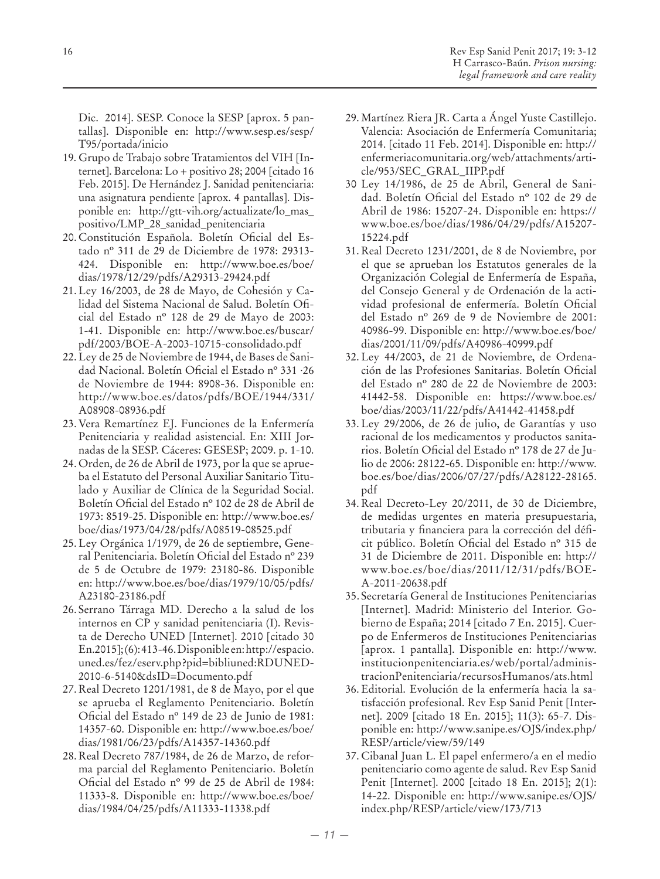Dic. 2014]. SESP. Conoce la SESP [aprox. 5 pantallas]. Disponible en: http://www.sesp.es/sesp/ T95/portada/inicio

- 19. Grupo de Trabajo sobre Tratamientos del VIH [Internet]. Barcelona: Lo + positivo 28; 2004 [citado 16 Feb. 2015]. De Hernández J. Sanidad penitenciaria: una asignatura pendiente [aprox. 4 pantallas]. Disponible en: http://gtt-vih.org/actualizate/lo\_mas\_ positivo/LMP\_28\_sanidad\_penitenciaria
- 20. Constitución Española. Boletín Oficial del Estado nº 311 de 29 de Diciembre de 1978: 29313- 424. Disponible en: http://www.boe.es/boe/ dias/1978/12/29/pdfs/A29313-29424.pdf
- 21. Ley 16/2003, de 28 de Mayo, de Cohesión y Calidad del Sistema Nacional de Salud. Boletín Oficial del Estado nº 128 de 29 de Mayo de 2003: 1-41. Disponible en: http://www.boe.es/buscar/ pdf/2003/BOE-A-2003-10715-consolidado.pdf
- 22. Ley de 25 de Noviembre de 1944, de Bases de Sanidad Nacional. Boletín Oficial el Estado nº 331 ·26 de Noviembre de 1944: 8908-36. Disponible en: http://www.boe.es/datos/pdfs/BOE/1944/331/ A08908-08936.pdf
- 23. Vera Remartínez EJ. Funciones de la Enfermería Penitenciaria y realidad asistencial. En: XIII Jornadas de la SESP. Cáceres: GESESP; 2009. p. 1-10.
- 24. Orden, de 26 de Abril de 1973, por la que se aprueba el Estatuto del Personal Auxiliar Sanitario Titulado y Auxiliar de Clínica de la Seguridad Social. Boletín Oficial del Estado nº 102 de 28 de Abril de 1973: 8519-25. Disponible en: http://www.boe.es/ boe/dias/1973/04/28/pdfs/A08519-08525.pdf
- 25. Ley Orgánica 1/1979, de 26 de septiembre, General Penitenciaria. Boletín Oficial del Estado nº 239 de 5 de Octubre de 1979: 23180-86. Disponible en: http://www.boe.es/boe/dias/1979/10/05/pdfs/ A23180-23186.pdf
- 26. Serrano Tárraga MD. Derecho a la salud de los internos en CP y sanidad penitenciaria (I). Revista de Derecho UNED [Internet]. 2010 [citado 30 En.2015]; (6): 413-46. Disponible en: http://espacio. uned.es/fez/eserv.php?pid=bibliuned:RDUNED-2010-6-5140&dsID=Documento.pdf
- 27. Real Decreto 1201/1981, de 8 de Mayo, por el que se aprueba el Reglamento Penitenciario. Boletín Oficial del Estado nº 149 de 23 de Junio de 1981: 14357-60. Disponible en: http://www.boe.es/boe/ dias/1981/06/23/pdfs/A14357-14360.pdf
- 28. Real Decreto 787/1984, de 26 de Marzo, de reforma parcial del Reglamento Penitenciario. Boletín Oficial del Estado nº 99 de 25 de Abril de 1984: 11333-8. Disponible en: http://www.boe.es/boe/ dias/1984/04/25/pdfs/A11333-11338.pdf
- 29. Martínez Riera JR. Carta a Ángel Yuste Castillejo. Valencia: Asociación de Enfermería Comunitaria; 2014. [citado 11 Feb. 2014]. Disponible en: http:// enfermeriacomunitaria.org/web/attachments/article/953/SEC\_GRAL\_IIPP.pdf
- 30 Ley 14/1986, de 25 de Abril, General de Sanidad. Boletín Oficial del Estado nº 102 de 29 de Abril de 1986: 15207-24. Disponible en: https:// www.boe.es/boe/dias/1986/04/29/pdfs/A15207- 15224.pdf
- 31. Real Decreto 1231/2001, de 8 de Noviembre, por el que se aprueban los Estatutos generales de la Organización Colegial de Enfermería de España, del Consejo General y de Ordenación de la actividad profesional de enfermería. Boletín Oficial del Estado nº 269 de 9 de Noviembre de 2001: 40986-99. Disponible en: http://www.boe.es/boe/ dias/2001/11/09/pdfs/A40986-40999.pdf
- 32. Ley 44/2003, de 21 de Noviembre, de Ordenación de las Profesiones Sanitarias. Boletín Oficial del Estado nº 280 de 22 de Noviembre de 2003: 41442-58. Disponible en: https://www.boe.es/ boe/dias/2003/11/22/pdfs/A41442-41458.pdf
- 33. Ley 29/2006, de 26 de julio, de Garantías y uso racional de los medicamentos y productos sanitarios. Boletín Oficial del Estado nº 178 de 27 de Julio de 2006: 28122-65. Disponible en: http://www. boe.es/boe/dias/2006/07/27/pdfs/A28122-28165. pdf
- 34. Real Decreto-Ley 20/2011, de 30 de Diciembre, de medidas urgentes en materia presupuestaria, tributaria y financiera para la corrección del déficit público. Boletín Oficial del Estado nº 315 de 31 de Diciembre de 2011. Disponible en: http:// www.boe.es/boe/dias/2011/12/31/pdfs/BOE-A-2011-20638.pdf
- 35. Secretaría General de Instituciones Penitenciarias [Internet]. Madrid: Ministerio del Interior. Gobierno de España; 2014 [citado 7 En. 2015]. Cuerpo de Enfermeros de Instituciones Penitenciarias [aprox. 1 pantalla]. Disponible en: http://www. institucionpenitenciaria.es/web/portal/administracionPenitenciaria/recursosHumanos/ats.html
- 36. Editorial. Evolución de la enfermería hacia la satisfacción profesional. Rev Esp Sanid Penit [Internet]. 2009 [citado 18 En. 2015]; 11(3): 65-7. Disponible en: http://www.sanipe.es/OJS/index.php/ RESP/article/view/59/149
- 37. Cibanal Juan L. El papel enfermero/a en el medio penitenciario como agente de salud. Rev Esp Sanid Penit [Internet]. 2000 [citado 18 En. 2015]; 2(1): 14-22. Disponible en: http://www.sanipe.es/OJS/ index.php/RESP/article/view/173/713